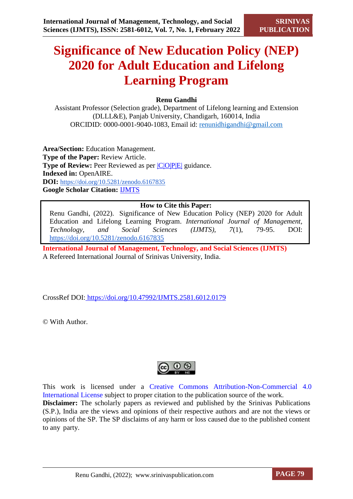# **Significance of New Education Policy (NEP) 2020 for Adult Education and Lifelong Learning Program**

# **Renu Gandhi**

Assistant Professor (Selection grade), Department of Lifelong learning and Extension (DLLL&E), Panjab University, Chandigarh, 160014, India ORCIDID: 0000-0001-9040-1083, Email id: [renunidhigandhi@gmail.com](mailto:renunidhigandhi@gmail.com)

**Area/Section:** Education Management. **Type of the Paper:** Review Article. **Type of Review:** Peer Reviewed as per  $|C|O||P|E|$  guidance. **Indexed in:** OpenAIRE. **DOI:** <https://doi.org/10.5281/zenodo.6167835> **Google Scholar Citation:** [IJMTS](https://scholar.google.com/citations?user=bphF0BQAAAAJ)

# **How to Cite this Paper:**

Renu Gandhi, (2022). Significance of New Education Policy (NEP) 2020 for Adult Education and Lifelong Learning Program. *International Journal of Management, Technology, and Social Sciences (IJMTS), 7*(1), 79-95. DOI: <https://doi.org/10.5281/zenodo.6167835>

**International Journal of Management, Technology, and Social Sciences (IJMTS)** A Refereed International Journal of Srinivas University, India.

CrossRef DOI: [https://doi.org/10.47992/IJMTS.2581.6012.0179](https://search.crossref.org/?q=10.47992%2FIJMTS.2581.6012.0179&from_ui=yes)

© With Author.



This work is licensed under a Creative Commons Attribution-Non-Commercial 4.0 International License subject to proper citation to the publication source of the work. **Disclaimer:** The scholarly papers as reviewed and published by the Srinivas Publications (S.P.), India are the views and opinions of their respective authors and are not the views or opinions of the SP. The SP disclaims of any harm or loss caused due to the published content to any party.

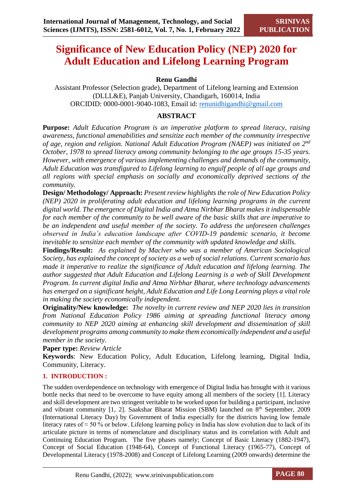# **Significance of New Education Policy (NEP) 2020 for Adult Education and Lifelong Learning Program**

# **Renu Gandhi**

Assistant Professor (Selection grade), Department of Lifelong learning and Extension (DLLL&E), Panjab University, Chandigarh, 160014, India ORCIDID: 0000-0001-9040-1083, Email id: [renunidhigandhi@gmail.com](mailto:renunidhigandhi@gmail.com)

# **ABSTRACT**

**Purpose:** *Adult Education Program is an imperative platform to spread literacy, raising awareness, functional amenabilities and sensitize each member of the community irrespective of age, region and religion. National Adult Education Program (NAEP) was initiated on 2nd October, 1978 to spread literacy among community belonging to the age groups 15-35 years. However, with emergence of various implementing challenges and demands of the community, Adult Education was transfigured to Lifelong learning to engulf people of all age groups and all regions with special emphasis on socially and economically deprived sections of the community.* 

**Design/ Methodology/ Approach:** *Present review highlights the role of New Education Policy (NEP) 2020 in proliferating adult education and lifelong learning programs in the current digital world. The emergence of Digital India and Atma Nirbhar Bharat makes it indispensable for each member of the community to be well aware of the basic skills that are imperative to be an independent and useful member of the society. To address the unforeseen challenges observed in India's education landscape after COVID-19 pandemic scenario, it become inevitable to sensitize each member of the community with updated knowledge and skills.*

**Findings/Result:** *As explained by Maclver who was a member of American Sociological Society, has explained the concept of society as a web of social relations. Current scenario has made it imperative to realize the significance of Adult education and lifelong learning. The author suggested that Adult Education and Lifelong Learning is a web of Skill Development Program. In current digital India and Atma Nirbhar Bharat, where technology advancements has emerged on a significant height, Adult Education and Life Long Learning plays a vital role in making the society economically independent.* 

**Originality/New knowledge:** *The novelty in current review and NEP 2020 lies in transition from National Education Policy 1986 aiming at spreading functional literacy among community to NEP 2020 aiming at enhancing skill development and dissemination of skill development programs among community to make them economically independent and a useful member in the society.*

**Paper type:** *Review Article*

**Keywords**: New Education Policy, Adult Education, Lifelong learning, Digital India, Community, Literacy.

# **1. INTRODUCTION :**

The sudden overdependence on technology with emergence of Digital India has brought with it various bottle necks that need to be overcome to have equity among all members of the society [1]. Literacy and skill development are two stringent veritable to be worked upon for building a participant, inclusive and vibrant community  $[1, 2]$ . Saakshar Bharat Mission (SBM) launched on  $8<sup>th</sup>$  September, 2009 (International Literacy Day) by Government of India especially for the districts having low female literacy rates of ≈ 50 % or below. Lifelong learning policy in India has slow evolution due to lack of its articulate picture in terms of nomenclature and disciplinary status and its correlation with Adult and Continuing Education Program. The five phases namely; Concept of Basic Literacy (1882-1947), Concept of Social Education (1948-64), Concept of Functional Literacy (1965-77), Concept of Developmental Literacy (1978-2008) and Concept of Lifelong Learning (2009 onwards) determine the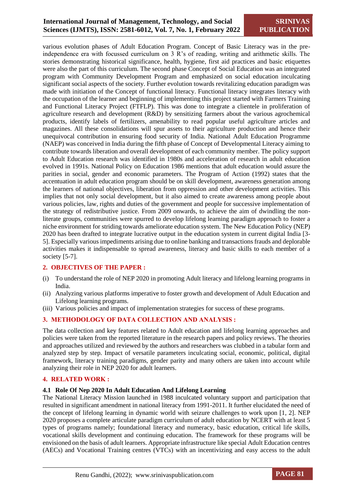# **International Journal of Management, Technology, and Social Sciences (IJMTS), ISSN: 2581-6012, Vol. 7, No. 1, February 2022**

various evolution phases of Adult Education Program. Concept of Basic Literacy was in the preindependence era with focussed curriculum on 3 R's of reading, writing and arithmetic skills. The stories demonstrating historical significance, health, hygiene, first aid practices and basic etiquettes were also the part of this curriculum. The second phase Concept of Social Education was an integrated program with Community Development Program and emphasized on social education inculcating significant social aspects of the society. Further evolution towards revitalizing education paradigm was made with initiation of the Concept of functional literacy. Functional literacy integrates literacy with the occupation of the learner and beginning of implementing this project started with Farmers Training and Functional Literacy Project (FTFLP). This was done to integrate a clientele in proliferation of agriculture research and development (R&D) by sensitizing farmers about the various agrochemical products, identify labels of fertilizers, amenability to read popular useful agriculture articles and magazines. All these consolidations will spur assets to their agriculture production and hence their unequivocal contribution in ensuring food security of India. National Adult Education Programme (NAEP) was conceived in India during the fifth phase of Concept of Developmental Literacy aiming to contribute towards liberation and overall development of each community member. The policy support to Adult Education research was identified in 1980s and acceleration of research in adult education evolved in 1991s. National Policy on Education 1986 mentions that adult education would assure the parities in social, gender and economic parameters. The Program of Action (1992) states that the accentuation in adult education program should be on skill development, awareness generation among the learners of national objectives, liberation from oppression and other development activities. This implies that not only social development, but it also aimed to create awareness among people about various policies, law, rights and duties of the government and people for successive implementation of the strategy of redistributive justice. From 2009 onwards, to achieve the aim of dwindling the nonliterate groups, communities were spurred to develop lifelong learning paradigm approach to foster a niche environment for striding towards ameliorate education system. The New Education Policy (NEP) 2020 has been drafted to integrate lucrative output in the education system in current digital India [3- 5]. Especially various impediments arising due to online banking and transactions frauds and deplorable activities makes it indispensable to spread awareness, literacy and basic skills to each member of a society [5-7].

#### **2. OBJECTIVES OF THE PAPER :**

- (i) To understand the role of NEP 2020 in promoting Adult literacy and lifelong learning programs in India.
- (ii) Analyzing various platforms imperative to foster growth and development of Adult Education and Lifelong learning programs.
- (iii) Various policies and impact of implementation strategies for success of these programs.

#### **3. METHODOLOGY OF DATA COLLECTION AND ANALYSIS :**

The data collection and key features related to Adult education and lifelong learning approaches and policies were taken from the reported literature in the research papers and policy reviews. The theories and approaches utilized and reviewed by the authors and researchers was clubbed in a tabular form and analyzed step by step. Impact of versatile parameters inculcating social, economic, political, digital framework, literacy training paradigms, gender parity and many others are taken into account while analyzing their role in NEP 2020 for adult learners.

#### **4. RELATED WORK :**

#### **4.1 Role Of Nep 2020 In Adult Education And Lifelong Learning**

The National Literacy Mission launched in 1988 inculcated voluntary support and participation that resulted in significant amendment in national literacy from 1991-2011. It further elucidated the need of the concept of lifelong learning in dynamic world with seizure challenges to work upon [1, 2]. NEP 2020 proposes a complete articulate paradigm curriculum of adult education by NCERT with at least 5 types of programs namely; foundational literacy and numeracy, basic education, critical life skills, vocational skills development and continuing education. The framework for these programs will be envisioned on the basis of adult learners. Appropriate infrastructure like special Adult Education centres (AECs) and Vocational Training centres (VTCs) with an incentivizing and easy access to the adult

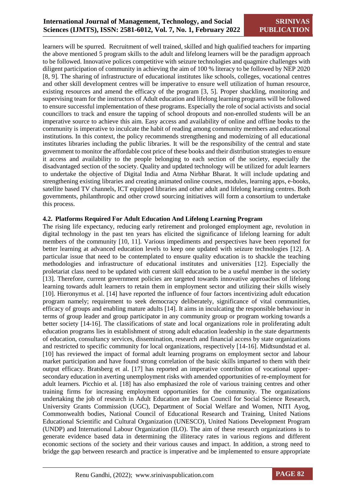learners will be spurred. Recruitment of well trained, skilled and high qualified teachers for imparting the above mentioned 5 program skills to the adult and lifelong learners will be the paradigm approach to be followed. Innovative polices competitive with seizure technologies and quagmire challenges with diligent participation of community in achieving the aim of 100 % literacy to be followed by NEP 2020 [8, 9]. The sharing of infrastructure of educational institutes like schools, colleges, vocational centres and other skill development centres will be imperative to ensure well utilization of human resource, existing resources and amend the efficacy of the program [3, 5]. Proper shackling, monitoring and supervising team for the instructors of Adult education and lifelong learning programs will be followed to ensure successful implementation of these programs. Especially the role of social activists and social councillors to track and ensure the tapping of school dropouts and non-enrolled students will be an imperative source to achieve this aim. Easy access and availability of online and offline books to the community is imperative to inculcate the habit of reading among community members and educational institutions. In this context, the policy recommends strengthening and modernizing of all educational institutes libraries including the public libraries. It will be the responsibility of the central and state government to monitor the affordable cost price of these books and their distribution strategies to ensure it access and availability to the people belonging to each section of the society, especially the disadvantaged section of the society. Quality and updated technology will be utilized for adult learners to undertake the objective of Digital India and Atma Nirbhar Bharat. It will include updating and strengthening existing libraries and creating animated online courses, modules, learning apps, e-books, satellite based TV channels, ICT equipped libraries and other adult and lifelong learning centres. Both governments, philanthropic and other crowd sourcing initiatives will form a consortium to undertake this process.

#### **4.2. Platforms Required For Adult Education And Lifelong Learning Program**

The rising life expectancy, reducing early retirement and prolonged employment age, revolution in digital technology in the past ten years has elicited the significance of lifelong learning for adult members of the community [10, 11]. Various impediments and perspectives have been reported for better learning at advanced education levels to keep one updated with seizure technologies [12]. A particular issue that need to be contemplated to ensure quality education is to shackle the teaching methodologies and infrastructure of educational institutes and universities [12]. Especially the proletariat class need to be updated with current skill education to be a useful member in the society [13]. Therefore, current government policies are targeted towards innovative approaches of lifelong learning towards adult learners to retain them in employment sector and utilizing their skills wisely [10]. Hieronymus et al. [14] have reported the influence of four factors incentivizing adult education program namely; requirement to seek democracy deliberately, significance of vital communities, efficacy of groups and enabling mature adults [14]. It aims in inculcating the responsible behaviour in terms of group leader and group participator in any community group or program working towards a better society [14-16]. The classifications of state and local organizations role in proliferating adult education programs lies in establishment of strong adult education leadership in the state departments of education, consultancy services, dissemination, research and financial access by state organizations and restricted to specific community for local organizations, respectively [14-16]. Midtsundstad et al. [10] has reviewed the impact of formal adult learning programs on employment sector and labour market participation and have found strong correlation of the basic skills imparted to them with their output efficacy. Bratsberg et al. [17] has reported an imperative contribution of vocational upper‐ secondary education in averting unemployment risks with amended opportunities of re-employment for adult learners. Picchio et al. [18] has also emphasized the role of various training centres and other training firms for increasing employment opportunities for the community. The organizations undertaking the job of research in Adult Education are Indian Council for Social Science Research, University Grants Commission (UGC), Department of Social Welfare and Women, NITI Ayog, Commonwealth bodies, National Council of Educational Research and Training, United Nations Educational Scientific and Cultural Organization (UNESCO), United Nations Development Program (UNDP) and International Labour Organization (ILO). The aim of these research organizations is to generate evidence based data in determining the illiteracy rates in various regions and different economic sections of the society and their various causes and impact. In addition, a strong need to bridge the gap between research and practice is imperative and be implemented to ensure appropriate

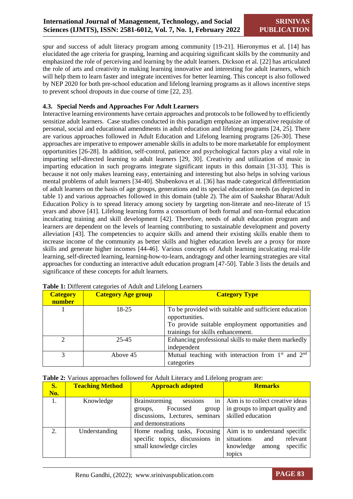spur and success of adult literacy program among community [19-21]. Hieronymus et al. [14] has elucidated the age criteria for grasping, learning and acquiring significant skills by the community and emphasized the role of perceiving and learning by the adult learners. Dickson et al. [22] has articulated the role of arts and creativity in making learning innovative and interesting for adult learners, which will help them to learn faster and integrate incentives for better learning. This concept is also followed by NEP 2020 for both pre-school education and lifelong learning programs as it allows incentive steps to prevent school dropouts in due course of time [22, 23].

#### **4.3. Special Needs and Approaches For Adult Learners**

Interactive learning environments have certain approaches and protocols to be followed by to efficiently sensitize adult learners. Case studies conducted in this paradigm emphasize an imperative requisite of personal, social and educational amendments in adult education and lifelong programs [24, 25]. There are various approaches followed in Adult Education and Lifelong learning programs [26-30]. These approaches are imperative to empower amenable skills in adults to be more marketable for employment opportunities [26-28]. In addition, self-control, patience and psychological factors play a vital role in imparting self-directed learning to adult learners [29, 30]. Creativity and utilization of music in imparting education in such programs integrate significant inputs in this domain [31-33]. This is because it not only makes learning easy, entertaining and interesting but also helps in solving various mental problems of adult learners [34-40]. Shubenkova et al. [36] has made categorical differentiation of adult learners on the basis of age groups, generations and its special education needs (as depicted in table 1) and various approaches followed in this domain (table 2). The aim of Saakshar Bharat/Adult Education Policy is to spread literacy among society by targeting non-literate and neo-literate of 15 years and above [41]. Lifelong learning forms a consortium of both formal and non-formal education inculcating training and skill development [42]. Therefore, needs of adult education program and learners are dependent on the levels of learning contributing to sustainable development and poverty alleviation [43]. The competencies to acquire skills and amend their existing skills enable them to increase income of the community as better skills and higher education levels are a proxy for more skills and generate higher incomes [44-46]. Various concepts of Adult learning inculcating real-life learning, self-directed learning, learning-how-to-learn, andragogy and other learning strategies are vital approaches for conducting an interactive adult education program [47-50]. Table 3 lists the details and significance of these concepts for adult learners.

| <b>Category</b><br>number | <b>Category Age group</b> | <b>Category Type</b>                                                                                                                                             |
|---------------------------|---------------------------|------------------------------------------------------------------------------------------------------------------------------------------------------------------|
|                           | 18-25                     | To be provided with suitable and sufficient education<br>opportunities.<br>To provide suitable employment opportunities and<br>trainings for skills enhancement. |
| $\gamma$                  | 25-45                     | Enhancing professional skills to make them markedly<br>independent                                                                                               |
| 3                         | Above 45                  | Mutual teaching with interaction from $1st$ and $2nd$<br>categories                                                                                              |

|  | Table 1: Different categories of Adult and Lifelong Learners |  |  |  |
|--|--------------------------------------------------------------|--|--|--|
|  |                                                              |  |  |  |

|  |  |  | Table 2: Various approaches followed for Adult Literacy and Lifelong program are: |
|--|--|--|-----------------------------------------------------------------------------------|
|  |  |  |                                                                                   |

| S.  | <b>Teaching Method</b> | <b>Approach adopted</b>                                                                                                         | <b>Remarks</b>                                                                                             |
|-----|------------------------|---------------------------------------------------------------------------------------------------------------------------------|------------------------------------------------------------------------------------------------------------|
| No. |                        |                                                                                                                                 |                                                                                                            |
| 1.  | Knowledge              | in<br>sessions<br><b>Brainstorming</b><br>Focussed<br>group<br>groups,<br>discussions, Lectures, seminars<br>and demonstrations | Aim is to collect creative ideas<br>in groups to impart quality and<br>skilled education                   |
| 2.  | Understanding          | Home reading tasks, Focusing<br>specific topics, discussions in<br>small knowledge circles                                      | Aim is to understand specific<br>situations<br>relevant<br>and<br>knowledge<br>specific<br>among<br>topics |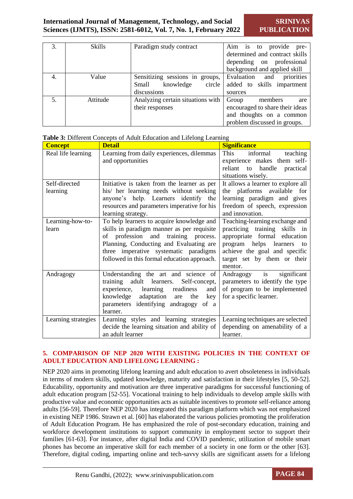| 3. | <b>Skills</b> | Paradigm study contract           | provide pre-<br>Aim is to       |
|----|---------------|-----------------------------------|---------------------------------|
|    |               |                                   | determined and contract skills  |
|    |               |                                   | depending on professional       |
|    |               |                                   | background and applied skill    |
| 4. | Value         | Sensitizing sessions in groups,   | priorities<br>Evaluation<br>and |
|    |               | knowledge<br>circle<br>Small      | added to skills impartment      |
|    |               | discussions                       | sources                         |
| 5. | Attitude      | Analyzing certain situations with | members<br>Group<br>are         |
|    |               | their responses                   | encouraged to share their ideas |
|    |               |                                   | and thoughts on a common        |
|    |               |                                   | problem discussed in groups.    |

| <b>Concept</b>      | At or Different Concepts of Figure Equention and Enterong Ecumnism<br><b>Detail</b> | <b>Significance</b>                    |
|---------------------|-------------------------------------------------------------------------------------|----------------------------------------|
| Real life learning  | Learning from daily experiences, dilemmas                                           | This<br>informal<br>teaching           |
|                     | and opportunities                                                                   | experience makes them self-            |
|                     |                                                                                     | reliant to handle practical            |
|                     |                                                                                     | situations wisely.                     |
| Self-directed       | Initiative is taken from the learner as per                                         | It allows a learner to explore all     |
| learning            | his/ her learning needs without seeking                                             | the platforms available for            |
|                     | anyone's help. Learners identify the                                                | learning paradigm and gives            |
|                     | resources and parameters imperative for his                                         | freedom of speech, expression          |
|                     | learning strategy.                                                                  | and innovation.                        |
| Learning-how-to-    | To help learners to acquire knowledge and                                           | Teaching-learning exchange and         |
| learn               | skills in paradigm manner as per requisite                                          | practicing training skills in          |
|                     | of profession and training process.                                                 | appropriate formal education           |
|                     | Planning, Conducting and Evaluating are                                             | program helps learners<br>to           |
|                     | three imperative systematic paradigms                                               | achieve the goal and specific          |
|                     | followed in this formal education approach.                                         | target set by them or their<br>mentor. |
| Andragogy           | Understanding the art and science of                                                | Andragogy is<br>significant            |
|                     | training adult learners.<br>Self-concept,                                           | parameters to identify the type        |
|                     | readiness<br>experience, learning<br>and                                            | of program to be implemented           |
|                     | knowledge adaptation are<br>the<br>key                                              | for a specific learner.                |
|                     | parameters identifying andragogy of a                                               |                                        |
|                     | learner.                                                                            |                                        |
| Learning strategies | Learning styles and learning strategies                                             | Learning techniques are selected       |
|                     | decide the learning situation and ability of                                        | depending on amenability of a          |
|                     | an adult learner                                                                    | learner.                               |

#### **Table 3:** Different Concepts of Adult Education and Lifelong Learning

#### **5. COMPARISON OF NEP 2020 WITH EXISTING POLICIES IN THE CONTEXT OF ADULT EDUCATION AND LIFELONG LEARNING :**

NEP 2020 aims in promoting lifelong learning and adult education to avert obsoleteness in individuals in terms of modern skills, updated knowledge, maturity and satisfaction in their lifestyles [5, 50-52]. Educability, opportunity and motivation are three imperative paradigms for successful functioning of adult education program [52-55]. Vocational training to help individuals to develop ample skills with productive value and economic opportunities acts as suitable incentives to promote self-reliance among adults [56-59]. Therefore NEP 2020 has integrated this paradigm platform which was not emphasized in existing NEP 1986. Strawn et al. [60] has elaborated the various policies promoting the proliferation of Adult Education Program. He has emphasized the role of post-secondary education, training and workforce development institutions to support community in employment sector to support their families [61-63]. For instance, after digital India and COVID pandemic, utilization of mobile smart phones has become an imperative skill for each member of a society in one form or the other [63]. Therefore, digital coding, imparting online and tech-savvy skills are significant assets for a lifelong

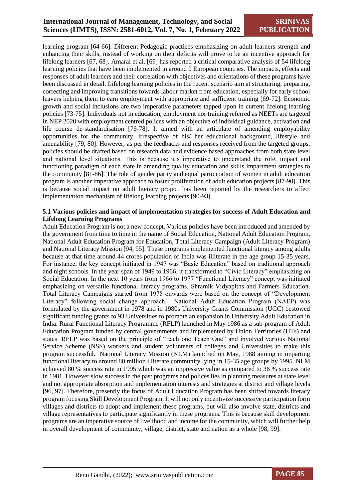learning program [64-66]. Different Pedagogic practices emphasizing on adult learners strength and enhancing their skills, instead of working on their deficits will prove to be an incentive approach for lifelong learners [67, 68]. Amaral et al. [69] has reported a critical comparative analysis of 54 lifelong learning policies that have been implemented in around 9 European countries. The impacts, effects and responses of adult learners and their correlation with objectives and orientations of these programs have been discussed in detail. Lifelong learning policies in the recent scenario aim at structuring, preparing, correcting and improving transitions towards labour market from education, especially for early school leavers helping them to earn employment with appropriate and sufficient training [69-72]. Economic growth and social inclusions are two imperative parameters tapped upon in current lifelong learning policies [73-75]. Individuals not in education, employment nor training referred as NEETs are targeted in NEP 2020 with employment centred polices with an objective of individual guidance, activation and life course de-standardisation [76-78]. It aimed with an articulate of amending employability opportunities for the community, irrespective of his/ her educational background, lifestyle and amenability [79, 80]. However, as per the feedbacks and responses received from the targeted groups, policies should be drafted based on research data and evidence based approaches from both state level and national level situations. This is because it's imperative to understand the role, impact and functioning paradigm of each state in amending quality education and skills impartment strategies to the community [81-86]. The role of gender parity and equal participation of women in adult education program is another imperative approach to foster proliferation of adult education projects [87-90]. This is because social impact on adult literacy project has been reported by the researchers to affect implementation mechanism of lifelong learning projects [90-93].

#### **5.1 Various policies and impact of implementation strategies for success of Adult Education and Lifelong Learning Programs**

Adult Education Program is not a new concept. Various policies have been introduced and amended by the government from time to time in the name of Social Education, National Adult Education Program, National Adult Education Program for Education, Total Literacy Campaign (Adult Literacy Program) and National Literacy Mission [94, 95]. These programs implemented functional literacy among adults because at that time around 44 crores population of India was illiterate in the age group 15-35 years. For instance, the key concept initiated in 1947 was "Basic Education" based on traditional approach and night schools. In the year span of 1949 to 1966, it transformed to "Civic Literacy" emphasizing on Social Education. In the next 10 years from 1966 to 1977 "Functional Literacy" concept was initiated emphasizing on versatile functional literacy programs, Shramik Vidyapiths and Farmers Education. Total Literacy Campaigns started from 1978 onwards were based on the concept of "Development Literacy" following social change approach. National Adult Education Program (NAEP) was formulated by the government in 1978 and in 1980s University Grants Commission (UGC) bestowed significant funding grants to 93 Universities to promote an expansion in University Adult Education in India. Rural Functional Literacy Programme (RFLP) launched in May 1986 as a sub-program of Adult Education Program funded by central governments and implemented by Union Territories (UTs) and states. RFLP was based on the principle of "Each one Teach One" and involved various National Service Scheme (NSS) workers and student volunteers of colleges and Universities to make this program successful. National Literacy Mission (NLM) launched on May, 1988 aiming in imparting functional literacy to around 80 million illiterate community lying in 15-35 age groups by 1995. NLM achieved 80 % success rate in 1995 which was an impressive value as compared to 36 % success rate in 1981. However slow success in the past programs and polices lies in planning measures at state level and not appropriate absorption and implementation interests and strategies at district and village levels [96, 97]. Therefore, presently the focus of Adult Education Program has been shifted towards literacy program focusing Skill Development Program. It will not only incentivize successive participation form villages and districts to adopt and implement these programs, but will also involve state, districts and village representatives to participate significantly in these programs. This is because skill development programs are an imperative source of livelihood and income for the community, which will further help in overall development of community, village, district, state and nation as a whole [98, 99].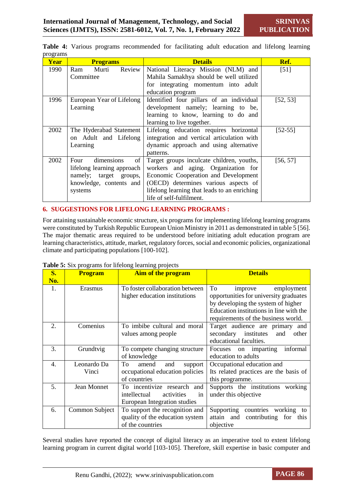| O.<br><b>Year</b> | <b>Programs</b>                                                                                                        | <b>Details</b>                                                                                                                                                                                                                               | Ref.      |
|-------------------|------------------------------------------------------------------------------------------------------------------------|----------------------------------------------------------------------------------------------------------------------------------------------------------------------------------------------------------------------------------------------|-----------|
| 1990              | Review<br>Murti<br>Ram<br>Committee                                                                                    | National Literacy Mission (NLM) and<br>Mahila Samakhya should be well utilized<br>for integrating momentum into adult<br>education program                                                                                                   | [51]      |
| 1996              | European Year of Lifelong<br>Learning                                                                                  | Identified four pillars of an individual<br>development namely; learning to be,<br>learning to know, learning to do and<br>learning to live together.                                                                                        | [52, 53]  |
| 2002              | The Hyderabad Statement<br>on Adult and Lifelong<br>Learning                                                           | Lifelong education requires horizontal<br>integration and vertical articulation with<br>dynamic approach and using alternative<br>patterns.                                                                                                  | $[52-55]$ |
| 2002              | dimensions<br>of<br>Four<br>lifelong learning approach<br>namely; target groups,<br>knowledge, contents and<br>systems | Target groups inculcate children, youths,<br>workers and aging. Organization for<br>Economic Cooperation and Development<br>(OECD) determines various aspects of<br>lifelong learning that leads to an enriching<br>life of self-fulfilment. | [56, 57]  |

**Table 4:** Various programs recommended for facilitating adult education and lifelong learning programs

#### **6. SUGGESTIONS FOR LIFELONG LEARNING PROGRAMS :**

For attaining sustainable economic structure, six programs for implementing lifelong learning programs were constituted by Turkish Republic European Union Ministry in 2011 as demonstrated in table 5 [56]. The major thematic areas required to be understood before initiating adult education program are learning characteristics, attitude, market, regulatory forces, social and economic policies, organizational climate and participating populations [100-102].

| <b>S.</b><br>No. | <b>Program</b>       | <b>Aim of the program</b>                                                                          | <b>Details</b>                                                                                                                                                                                |  |
|------------------|----------------------|----------------------------------------------------------------------------------------------------|-----------------------------------------------------------------------------------------------------------------------------------------------------------------------------------------------|--|
| 1.               | Erasmus              | To foster collaboration between<br>higher education institutions                                   | To<br>employment<br>improve<br>opportunities for university graduates<br>by developing the system of higher<br>Education institutions in line with the<br>requirements of the business world. |  |
| 2.               | Comenius             | To imbibe cultural and moral<br>values among people                                                | Target audience are primary and<br>secondary institutes<br>and<br>other<br>educational faculties.                                                                                             |  |
| 3.               | Grundtvig            | To compete changing structure<br>of knowledge                                                      | informal<br>Focuses on imparting<br>education to adults                                                                                                                                       |  |
| 4.               | Leonardo Da<br>Vinci | To<br>amend<br>and<br>support<br>occupational education policies<br>of countries                   | Occupational education and<br>Its related practices are the basis of<br>this programme.                                                                                                       |  |
| 5.               | Jean Monnet          | To incentivize research<br>and<br>intellectual<br>in<br>activities<br>European Integration studies | Supports the institutions working<br>under this objective                                                                                                                                     |  |
| 6.               | Common Subject       | To support the recognition and<br>quality of the education system<br>of the countries              | countries working to<br>Supporting<br>attain and contributing for<br>this<br>objective                                                                                                        |  |

**Table 5:** Six programs for lifelong learning projects

Several studies have reported the concept of digital literacy as an imperative tool to extent lifelong learning program in current digital world [103-105]. Therefore, skill expertise in basic computer and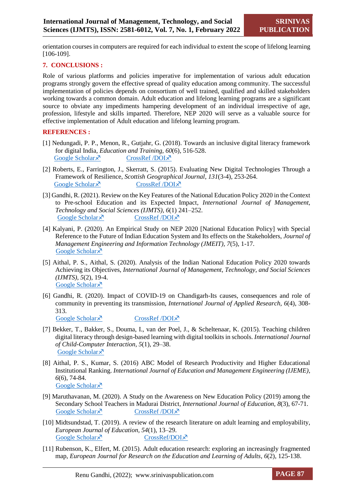orientation courses in computers are required for each individual to extent the scope of lifelong learning [106-109].

#### **7. CONCLUSIONS :**

Role of various platforms and policies imperative for implementation of various adult education programs strongly govern the effective spread of quality education among community. The successful implementation of policies depends on consortium of well trained, qualified and skilled stakeholders working towards a common domain. Adult education and lifelong learning programs are a significant source to obviate any impediments hampering development of an individual irrespective of age, profession, lifestyle and skills imparted. Therefore, NEP 2020 will serve as a valuable source for effective implementation of Adult education and lifelong learning program.

#### **REFERENCES :**

- [1] Nedungadi, P. P., Menon, R., Gutjahr, G. (2018). Towards an inclusive digital literacy framework for digital India, *Education and Training, 60*(6), 516-528. [Google Scholar](https://eric.ed.gov/?id=EJ1196337)  $\times$  [CrossRef /DOI](http://dx.doi.org/10.1108/ET-03-2018-0061) $\times$
- [2] Roberts, E., Farrington, J., Skerratt, S. (2015). Evaluating New Digital Technologies Through a Framework of Resilience, *Scottish Geographical Journal*, *131*(3-4), 253-264. [Google Scholar](https://uwe-repository.worktribe.com/output/2253506/evaluating-new-digital-technologies-through-a-framework-of-resilience)  $\times$  [CrossRef /DOI](https://doi.org/10.1080/14702541.2015.1068947) $\times$
- [3] Gandhi, R. (2021). Review on the Key Features of the National Education Policy 2020 in the Context to Pre-school Education and its Expected Impact, *International Journal of Management, Technology and Social Sciences (IJMTS)*, *6*(1) 241–252. [Google Scholar](https://srinivaspublication.com/journal/index.php/ijmts/article/view/654)  $\lambda$  [CrossRef /DOI](https://doi.org/10.47992/IJMTS.2581.6012.0143) $\lambda$
- [4] Kalyani, P. (2020). An Empirical Study on NEP 2020 [National Education Policy] with Special Reference to the Future of Indian Education System and Its effects on the Stakeholders, *Journal of Management Engineering and Information Technology (JMEIT), 7*(5), 1-17. [Google Scholar](https://zenodo.org/record/4159546) ×
- [5] Aithal, P. S., Aithal, S. (2020). Analysis of the Indian National Education Policy 2020 towards Achieving its Objectives, *International Journal of Management, Technology, and Social Sciences (IJMTS), 5*(2), 19-4. [Google Scholar](https://mpra.ub.uni-muenchen.de/102549/) ×
- [6] Gandhi, R. (2020). Impact of COVID-19 on Chandigarh-Its causes, consequences and role of community in preventing its transmission, *International Journal of Applied Research, 6*(4), 308- 313. [Google Scholar](https://www.allresearchjournal.com/archives/?year=2020&vol=6&issue=4&part=E&ArticleId=6662)  $\times$  [CrossRef /DOI](https://www.allresearchjournal.com/archives/2020/vol6issue4/PartE/6-4-41-299.pdf) $\times$
- [7] Bekker, T., Bakker, S., Douma, I., van der Poel, J., & Scheltenaar, K. (2015). Teaching children digital literacy through design-based learning with digital toolkits in schools. *International Journal of Child-Computer Interaction*, *5*(1), 29–38. [Google Scholar](https://research.tue.nl/en/publications/teaching-children-digital-literacy-through-design-based-learning-) ×
- [8] Aithal, P. S., Kumar, S. (2016) ABC Model of Research Productivity and Higher Educational Institutional Ranking. *International Journal of Education and Management Engineering (IJEME)*, *6*(6), 74-84. [Google Scholar](https://dx.doi.org/10.5815/ijeme.2016.06.08) ×
- [9] Maruthavanan, M. (2020). A Study on the Awareness on New Education Policy (2019) among the Secondary School Teachers in Madurai District, *International Journal of Education, 8*(3), 67-71. [Google Scholar](https://eric.ed.gov/?id=EJ1256073)  $\times$  [CrossRef /DOI](https://doi.org/10.34293/education.v8i3.2438) $\times$
- [10] Midtsundstad, T. (2019). A review of the research literature on adult learning and employability, *European Journal of Education, 54*(1), 13–29. [Google Scholar](https://onlinelibrary.wiley.com/doi/full/10.1111/ejed.12321)  $\times$  [CrossRef/DOI](https://doi.org/10.1111/ejed.12321) $\times$
- [11] Rubenson, K., Elfert, M. (2015). Adult education research: exploring an increasingly fragmented map, *European Journal for Research on the Education and Learning of Adults*,  $6(2)$ , 125-138.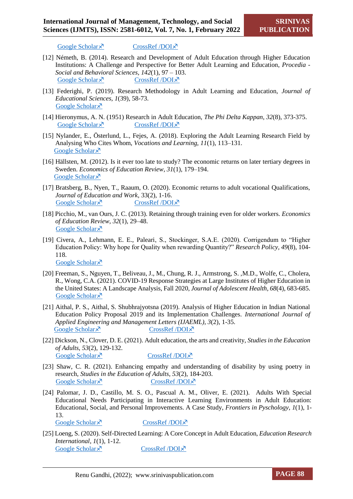[Google Scholar](https://journal.ep.liu.se/RELA/article/view/3803)  $\lambda$  [CrossRef /DOI](https://doi.org/10.3384/rela.2000-7426.rela9066) $\lambda$ 

- [12] Németh, B. (2014). Research and Development of Adult Education through Higher Education Institutions: A Challenge and Perspective for Better Adult Learning and Education, *Procedia - Social and Behavioral Sciences, 142*(1), 97 – 103. [Google Scholar](https://www.sciencedirect.com/science/article/pii/S1877042814045224)  $\lambda$  [CrossRef /DOI](https://doi.org/10.1016/j.sbspro.2014.07.594) $\lambda$
- [13] Federighi, P. (2019). Research Methodology in Adult Learning and Education, *Journal of Educational Sciences, 1*(39), 58-73. [Google Scholar](https://files.eric.ed.gov/fulltext/EJ1244696.pdf) ×
- [14] Hieronymus, A. N. (1951) Research in Adult Education, *The Phi Delta Kappan*, *32*(8), 373-375. [Google Scholar](https://www.jstor.org/stable/20332100)  $\times$  [CrossRef /DOI](https://www.jstor.org/stable/20332100) $\times$
- [15] Nylander, E., Österlund, L., Fejes, A. (2018). Exploring the Adult Learning Research Field by Analysing Who Cites Whom, *Vocations and Learning, 11*(1), 113–131. [Google Scholar](https://link.springer.com/article/10.1007/s12186-017-9181-z) ×
- [16] Hällsten, M. (2012). Is it ever too late to study? The economic returns on later tertiary degrees in Sweden. *Economics of Education Review*, *31*(1), 179–194. [Google Scholar](https://ideas.repec.org/a/eee/ecoedu/v31y2012i1p179-194.html) ×
- [17] Bratsberg, B., Nyen, T., Raaum, O. (2020). Economic returns to adult vocational Qualifications, *Journal of Education and Work*, 33(2), 1-16. [Google Scholar](https://www.tandfonline.com/doi/full/10.1080/13639080.2020.1722988)  $\times$  [CrossRef /DOI](https://doi.org/10.1080/13639080.2020.1722988) $\times$
- [18] Picchio, M., van Ours, J. C. (2013). Retaining through training even for older workers. *Economics of Education Review*, *32*(1), 29–48. [Google Scholar](https://econpapers.repec.org/article/eeeecoedu/v_3a32_3ay_3a2013_3ai_3ac_3ap_3a29-48.htm) ×
- [19] Civera, A., Lehmann, E. E., Paleari, S., Stockinger, S.A.E. (2020). Corrigendum to "Higher Education Policy: Why hope for Quality when rewarding Quantity?" *Research Policy, 49*(8), 104- 118. [Google Scholar](https://scholar.google.com/citations?view_op=view_citation&hl=es&user=z13rtsYAAAAJ&alert_preview_top_rm=2&citation_for_view=z13rtsYAAAAJ:Tyk-4Ss8FVUC) ×
- [20] Freeman, S., Nguyen, T., Beliveau, J., M., Chung, R. J., Armstrong, S. ,M.D., Wolfe, C., Cholera, R., Wong, C.A. (2021). COVID-19 Response Strategies at Large Institutes of Higher Education in the United States: A Landscape Analysis, Fall 2020, *Journal of Adolescent Health, 68*(4), 683-685. [Google Scholar](https://pubmed.ncbi.nlm.nih.gov/33781472/) ×
- [21] Aithal, P. S., Aithal, S. Shubhrajyotsna (2019). Analysis of Higher Education in Indian National Education Policy Proposal 2019 and its Implementation Challenges. *International Journal of Applied Engineering and Management Letters (IJAEML)*, *3*(2), 1-35. [Google Scholar](https://papers.ssrn.com/sol3/papers.cfm?abstract_id=3417517)  $\lambda$  [CrossRef /DOI](https://mpra.ub.uni-muenchen.de/id/eprint/95157) $\lambda$
- [22] Dickson, N., Clover, D. E. (2021). Adult education, the arts and creativity, *Studies in the Education of Adults*, *53*(2), 129-132. [Google Scholar](https://www.tandfonline.com/doi/pdf/10.1080/02660830.2021.1960613)  $\lambda$  [CrossRef /DOI](https://doi.org/10.1080/02660830.2021.1960613) $\lambda$
- [23] Shaw, C. R. (2021). Enhancing empathy and understanding of disability by using poetry in research, *Studies in the Education of Adults*, *53*(2), 184-203. [Google Scholar](https://www.tandfonline.com/doi/abs/10.1080/02660830.2021.1920740)  $\times$  [CrossRef /DOI](https://doi.org/10.1080/02660830.2021.1920740) $\times$
- [24] Palomar, J. D., Castillo, M. S. O., Pascual A. M., Oliver, E. (2021). Adults With Special Educational Needs Participating in Interactive Learning Environments in Adult Education: Educational, Social, and Personal Improvements. A Case Study, *Frontiers in Pyschology*, *1*(1), 1- 13. [Google Scholar](https://www.frontiersin.org/articles/10.3389/fpsyg.2021.662867/full)  $\lambda$  [CrossRef /DOI](https://doi.org/10.3389/fpsyg.2021.662867) $\lambda$
- [25] Loeng, S. (2020). Self-Directed Learning: A Core Concept in Adult Education, *Education Research International*, *1*(1), 1-12. [Google Scholar](https://www.hindawi.com/journals/edri/2020/3816132/)  $\bar{x}$  [CrossRef /DOI](https://doi.org/10.1155/2020/3816132) $\bar{x}$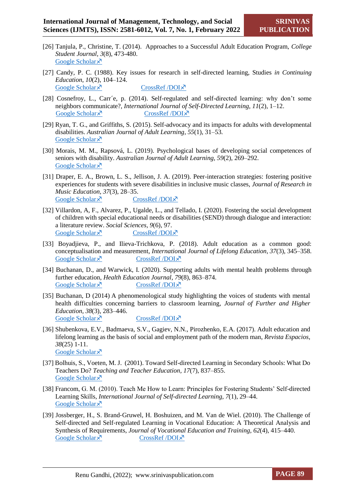- [26] Tanjula, P., Christine, T. (2014). Approaches to a Successful Adult Education Program, *College Student Journal, 3*(8), 473-480. [Google Scholar](https://www.ingentaconnect.com/content/prin/csj/2014/00000048/00000003/art00016) ×
- [27] Candy, P. C. (1988). Key issues for research in self-directed learning, Studies *in Continuing Education*, *10*(2), 104–124. [Google Scholar](https://www.tandfonline.com/doi/abs/10.1080/0158037880100202)  $\times$  [CrossRef /DOI](https://doi.org/10.1080/0158037880100202) $\times$
- [28] Cosnefroy, L., Carr´e, p. (2014). Self-regulated and self-directed learning: why don't some neighbors communicate?, *International Journal of Self-Directed Learning*, *11*(2), 1–12. [Google Scholar](https://hal.parisnanterre.fr/hal-01410802)  $\times$  [CrossRef /DOI](https://hal.parisnanterre.fr/hal-01410802) $\times$
- [29] Ryan, T. G., and Griffiths, S. (2015). Self-advocacy and its impacts for adults with developmental disabilities. *Australian Journal of Adult Learning*, *55*(1), 31–53. [Google Scholar](https://eric.ed.gov/?id=EJ1059141) ×
- [30] Morais, M. M., Rapsová, L. (2019). Psychological bases of developing social competences of seniors with disability. *Australian Journal of Adult Learning, 59*(2), 269–292. [Google Scholar](https://eric.ed.gov/?id=EJ1235813) ×
- [31] Draper, E. A., Brown, L. S., Jellison, J. A. (2019). Peer-interaction strategies: fostering positive experiences for students with severe disabilities in inclusive music classes, *Journal of Research in Music Education, 37*(3), 28–35. [Google Scholar](https://journals.sagepub.com/doi/abs/10.1177/8755123318820401)  $\times$  [CrossRef /DOI](https://doi.org/10.1177/8755123318820401) $\times$
- [32] Villardon, A, F., Alvarez, P., Ugalde, L., and Tellado, I. (2020). Fostering the social development of children with special educational needs or disabilities (SEND) through dialogue and interaction: a literature review. *Social Sciences, 9*(6), 97. [Google Scholar](https://www.mdpi.com/2076-0760/9/6/97)  $\lambda$  [CrossRef /DOI](https://doi.org/10.3390/socsci9060097) $\lambda$
- [33] Boyadjieva, P., and Ilieva-Trichkova, P. (2018). Adult education as a common good: conceptualisation and measurement, *International Journal of Lifelong Education*, *37*(3), 345–358. [Google Scholar](https://www.tandfonline.com/doi/abs/10.1080/02601370.2018.1478458)  $\times$  [CrossRef /DOI](https://doi.org/10.1080/02601370.2018.1478458) $\times$
- [34] Buchanan, D., and Warwick, I. (2020). Supporting adults with mental health problems through further education, *Health Education Journal*, *79*(8), 863–874. [Google Scholar](https://journals.sagepub.com/doi/abs/10.1177/0017896920929739)  $\lambda$  [CrossRef /DOI](https://doi.org/10.1177/0017896920929739) $\lambda$
- [35] Buchanan, D (2014) A phenomenological study highlighting the voices of students with mental health difficulties concerning barriers to classroom learning, *Journal of Further and Higher Education, 38*(3), 283–446. [Google Scholar](https://www.tandfonline.com/doi/abs/10.1080/0309877X.2013.778964)  $\bar{x}$  [CrossRef /DOI](https://doi.org/10.1080/0309877X.2013.778964) $\bar{x}$
- [36] Shubenkova, E.V., Badmaeva, S.V., Gagiev, N.N., Pirozhenko, E.A. (2017). Adult education and lifelong learning as the basis of social and employment path of the modern man, *Revista Espacios*, *38*(25) 1-11. [Google Scholar](https://www.revistaespacios.com/a17v38n25/a17v38n25p25.pdf) ×
- [37] Bolhuis, S., Voeten, M. J. (2001). Toward Self-directed Learning in Secondary Schools: What Do Teachers Do? *Teaching and Teacher Education, 17*(7), 837–855. [Google Scholar](https://eric.ed.gov/?id=EJ640152) ×
- [38] Francom, G. M. (2010). Teach Me How to Learn: Principles for Fostering Students' Self-directed Learning Skills, *International Journal of Self-directed Learning, 7*(1), 29–44. [Google Scholar](https://scholar.google.com/scholar_lookup?hl=en&volume=7&publication_year=2010&pages=29-44&issue=1&author=G.+M.+Francom&title=Teach+Me+How+to+Learn%3A+Principles+for+Fostering+Students%E2%80%99+Self-directed+Learning+Skills)<sup> $\lambda$ </sup>
- [39] Jossberger, H., S. Brand-Gruwel, H. Boshuizen, and M. Van de Wiel. (2010). The Challenge of Self-directed and Self-regulated Learning in Vocational Education: A Theoretical Analysis and Synthesis of Requirements, *Journal of Vocational Education and Training, 62*(4), 415–440. [Google Scholar](https://www.tandfonline.com/doi/abs/10.1080/13636820.2010.523479)  $\bar{X}$  [CrossRef /DOI](https://doi.org/10.1080/13636820.2010.523479) $\bar{X}$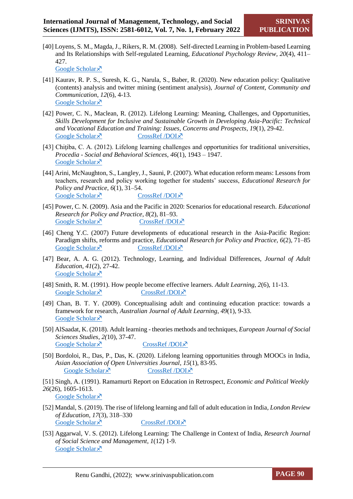- [40] Loyens, S. M., Magda, J., Rikers, R. M. (2008). Self-directed Learning in Problem-based Learning and Its Relationships with Self-regulated Learning, *Educational Psychology Review, 20*(4), 411– 427. [Google Scholar](https://link.springer.com/article/10.1007/s10648-008-9082-7) ×
- [41] Kaurav, R. P. S., Suresh, K. G., Narula, S., Baber, R. (2020). New education policy: Qualitative (contents) analysis and twitter mining (sentiment analysis), *Journal of Content, Community and Communication*, *12*(6), 4-13. [Google Scholar](https://www.amity.edu/gwalior/jccc/pdf/dec_02.pdf) ×
- [42] Power, C. N., Maclean, R. (2012). Lifelong Learning: Meaning, Challenges, and Opportunities, *Skills Development for Inclusive and Sustainable Growth in Developing Asia-Pacific: Technical and Vocational Education and Training: Issues, Concerns and Prospects*, *19*(1), 29-42. [Google Scholar](https://link.springer.com/chapter/10.1007/978-94-007-5937-4_2)  $\lambda$  [CrossRef /DOI](https://doi.org/10.1007/978-94-007-5937-4_2) $\lambda$
- [43] Chitiba, C. A. (2012). Lifelong learning challenges and opportunities for traditional universities, *Procedia - Social and Behavioral Sciences, 46*(1), 1943 – 1947. [Google Scholar](https://pdf.sciencedirectassets.com/277811/1-s2.0-S1877042812X0017X/1-s2.0-S1877042812015376/main.pdf?X-Amz-Security-Token=IQoJb3JpZ2luX2VjEOj%2F%2F%2F%2F%2F%2F%2F%2F%2F%2FwEaCXVzLWVhc3QtMSJHMEUCIQDMRIc5K3kH7Egv27lz0DOHlHNm1m1K1yvJVQH%2Bo3tIhwIgN4%2FZyQrYZ) ×
- [44] Arini, McNaughton, S., Langley, J., Sauni, P. (2007). What education reform means: Lessons from teachers, research and policy working together for students' success, *Educational Research for Policy and Practice*, *6*(1), 31–54. [Google Scholar](https://scholar.google.com/scholar_lookup?title=What%20education%20reform%20means%3A%20Lessons%20from%20teachers%2C%20research%20and%20policy%20working%20together%20for%20students%20success&author=.%20Arini&author=S.%20McNaughton&author=J.%20Langley&author)  $\times$  [CrossRef /DOI](https://link.springer.com/article/10.1007%2Fs10671-007-9028-8) $\times$
- [45] Power, C. N. (2009). Asia and the Pacific in 2020: Scenarios for educational research. *Educational Research for Policy and Practice*, *8*(2), 81–93. [Google Scholar](https://scholar.google.com/scholar_lookup?title=Asia%20and%20the%20Pacific%20in%202020%3A%20Scenarios%20for%20educational%20research&author=CN.%20Power&journal=Educational%20Research%20for%20Policy%20and%20Practice&volume=8&issue=2&pages=81-93&publication_)  $\times$  [CrossRef /DOI](https://link.springer.com/article/10.1007%2Fs10671-009-9063-8) $\times$
- [46] Cheng Y.C. (2007) Future developments of educational research in the Asia-Pacific Region: Paradigm shifts, reforms and practice, *Educational Research for Policy and Practice, 6*(2), 71–85 [Google Scholar](https://scholar.google.com/scholar_lookup?title=Future%20developments%20of%20educational%20research%20in%20the%20Asia-Pacific%20Region%3A%20Paradigm%20shifts%2C%20reforms%20and%20practice&journal=Educational%20Research%20for%20Policy%20and%20Practice&volum)  $\times$  [CrossRef /DOI](https://link.springer.com/article/10.1007%2Fs10671-007-9031-0) $\times$
- [47] Bear, A. A. G. (2012). Technology, Learning, and Individual Differences, *Journal of Adult Education*, *41*(2), 27-42. [Google Scholar](https://files.eric.ed.gov/fulltext/EJ997574.pdf) ×
- [48] Smith, R. M. (1991). How people become effective learners. *Adult Learning*, *2*(6), 11-13. [Google Scholar](https://journals.sagepub.com/doi/abs/10.1177/104515959100200605)  $\lambda$  [CrossRef /DOI](https://doi.org/10.1177/104515959100200605) $\lambda$
- [49] Chan, B. T. Y. (2009). Conceptualising adult and continuing education practice: towards a framework for research, *Australian Journal of Adult Learning*, *49*(1), 9-33. [Google Scholar](https://files.eric.ed.gov/fulltext/EJ864430.pdf) ×
- [50] AlSaadat, K. (2018). Adult learning theories methods and techniques, *European Journal of Social Sciences Studies*, *2(*10), 37-47. [Google Scholar](https://oapub.org/soc/index.php/EJSSS/article/view/309)  $\times$  [CrossRef /DOI](http://dx.doi.org/10.46827/ejsss.v0i0.309) $\times$
- [50] Bordoloi, R., Das, P., Das, K. (2020). Lifelong learning opportunities through MOOCs in India, *Asian Association of Open Universities Journal*, *15*(1), 83-95. [Google Scholar](https://www.emerald.com/insight/content/doi/10.1108/AAOUJ-09-2019-0042/full/html)  $\lambda$  [CrossRef /DOI](https://doi.org/10.1108/AAOUJ-09-2019-0042) $\lambda$
- [51] Singh, A. (1991). Ramamurti Report on Education in Retrospect, *Economic and Political Weekly 26*(26), 1605-1613. [Google Scholar](https://www.jstor.org/stable/41498419) ×
- [52] Mandal, S. (2019). The rise of lifelong learning and fall of adult education in India*, London Review of Education*, *17*(3), 318–330 [Google Scholar](https://files.eric.ed.gov/fulltext/EJ1234807.pdf)  $\times$  [CrossRef /DOI](https://doi.org/10.18546/LRE.17.3.08) $\times$
- [53] Aggarwal, V. S. (2012). Lifelong Learning: The Challenge in Context of India, *Research Journal of Social Science and Management*, *1*(12) 1-9. [Google Scholar](https://www.researchgate.net/publication/307863053_Lifelong_Learning_The_Challenges_in_Context_of_India) ×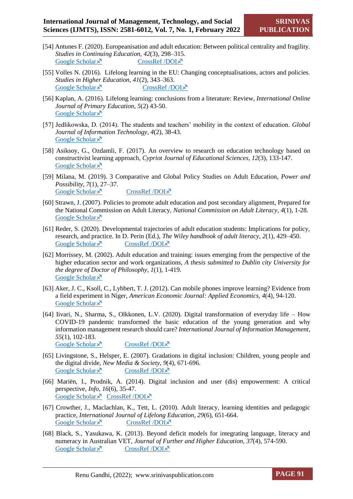- [54] Antunes F. (2020). Europeanisation and adult education: Between political centrality and fragility. *Studies in Continuing Education, 42*(3), 298–315. [Google Scholar](https://www.tandfonline.com/doi/abs/10.1080/0158037X.2019.1615425)  $\times$  [CrossRef /DOI](https://doi.org/10.1080/0158037X.2019.1615425) $\times$
- [55] Volles N. (2016). Lifelong learning in the EU: Changing conceptualisations, actors and policies. *Studies in Higher Education, 41*(2), 343–363. [Google Scholar](https://www.tandfonline.com/doi/abs/10.1080/03075079.2014.927852)  $\lambda$  [CrossRef /DOI](https://doi.org/10.1080/03075079.2014.927852) $\lambda$
- [56] Kaplan, A. (2016). Lifelong learning: conclusions from a literature: Review, *International Online Journal of Primary Education*, *5*(2) 43-50. [Google Scholar](https://files.eric.ed.gov/fulltext/EJ1243611.pdf) ×
- [57] Jedlikowska, D. (2014). The students and teachers' mobility in the context of education. *Global Journal of Information Technology*, *4*(2), 38-43. [Google Scholar](https://www.academia.edu/35503677/The_students_and_teachers_mobility_in_the_context_of_education) ×
- [58] Asiksoy, G., Ozdamli, F. (2017). An overview to research on education technology based on constructivist learning approach, *Cypriot Journal of Educational Sciences*, *12*(3), 133-147. [Google Scholar](https://files.eric.ed.gov/fulltext/EJ1162561.pdf) ×
- [59] Milana, M. (2019). 3 Comparative and Global Policy Studies on Adult Education, *Power and Possibility*, *7*(1), 27–37. [Google Scholar](https://brill.com/view/book/edcoll/9789004413320/BP000004.xml)  $\lambda$  [CrossRef /DOI](https://doi.org/10.1163/9789004413320_003) $\lambda$
- [60] Strawn, J. (2007). Policies to promote adult education and post secondary alignment, Prepared for the National Commission on Adult Literacy, *National Commission on Adult Literacy*, *4*(1), 1-28. [Google Scholar](https://files.eric.ed.gov/fulltext/ED506594.pdf) ×
- [61] Reder, S. (2020). Developmental trajectories of adult education students: Implications for policy, research, and practice. In D. Perin (Ed.), *The Wiley handbook of adult literacy*, *2*(1), 429–450. [Google Scholar](https://psycnet.apa.org/record/2019-71042-020)  $\bar{x}$  [CrossRef /DOI](https://doi.org/10.1002/9781119261407.ch20) $\bar{x}$
- [62] Morrissey, M. (2002). Adult education and training: issues emerging from the perspective of the higher education sector and work organizations, *A thesis submitted to Dublin city University for the degree of Doctor of Philosophy, 1*(1), 1-419. [Google Scholar](https://doras.dcu.ie/18091/1/Marire_Morrissey_20130116125154.pdf) ×
- [63] Aker, J. C., Ksoll, C., Lybbert, T. J. (2012). Can mobile phones improve learning? Evidence from a field experiment in Niger, *American Economic Journal: Applied Economics, 4*(4), 94-120. [Google Scholar](https://www.aeaweb.org/articles?id=10.1257/app.4.4.94) ×
- [64] Iivari, N., Sharma, S., Olkkonen, L.V. (2020). Digital transformation of everyday life How COVID-19 pandemic transformed the basic education of the young generation and why information management research should care? *International Journal of Information Management*, *55*(1), 102-183.

[Google Scholar](https://www.sciencedirect.com/science/article/pii/S0268401220310264)  $\times$  [CrossRef /DOI](https://doi.org/10.1016/j.ijinfomgt.2020.102183) $\times$ 

- [65] Livingstone, S., Helsper, E. (2007). Gradations in digital inclusion: Children, young people and the digital divide, *New Media & Society*, *9*(4), 671-696. [Google Scholar](https://journals.sagepub.com/doi/10.1177/1461444807080335)  $\lambda$  [CrossRef /DOI](https://doi.org/10.1177/1461444807080335) $\lambda$
- [66] Mariën, I., Prodnik, A. (2014). Digital inclusion and user (dis) empowerment: A critical perspective, *Info*, *16*(6), 35-47. [Google Scholar](https://www.emerald.com/insight/content/doi/10.1108/info-07-2014-0030/full/html) × [CrossRef /DOI](https://doi.org/10.1108/info-07-2014-0030) ×
- [67] Crowther, J., Maclachlan, K., Tett, L. (2010). Adult literacy, learning identities and pedagogic practice, *International Journal of Lifelong Education*, *29*(6), 651-664. [Google Scholar](https://www.tandfonline.com/doi/abs/10.1080/02601370.2010.524010)  $\times$  [CrossRef /DOI](https://doi.org/10.1080/02601370.2010.524010) $\times$
- [68] Black, S., Yasukawa, K. (2013). Beyond deficit models for integrating language, literacy and numeracy in Australian VET, *Journal of Further and Higher Education, 37*(4), 574-590. [Google Scholar](https://www.tandfonline.com/doi/full/10.1080/0309877X.2011.645469?src=recsys)  $\bar{x}$  [CrossRef /DOI](https://doi.org/10.1080/0309877X.2011.645469) $\bar{x}$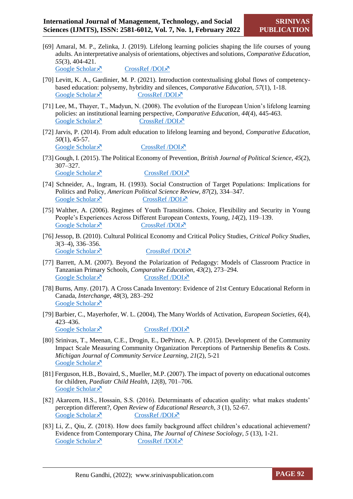[69] Amaral, M. P., Zelinka, J. (2019). Lifelong learning policies shaping the life courses of young adults. An interpretative analysis of orientations, objectives and solutions, *Comparative Education*, *55*(3), 404-421. [Google Scholar](https://www.tandfonline.com/doi/full/10.1080/03050068.2019.1619333)  $\bar{x}$  [CrossRef /DOI](https://doi.org/10.1080/03050068.2019.1619333) $\bar{x}$ 

[70] Levitt, K. A., Gardinier, M. P. (2021). Introduction contextualising global flows of competencybased education: polysemy, hybridity and silences, *Comparative Education*, *57*(1), 1-18. [Google Scholar](https://www.tandfonline.com/doi/full/10.1080/03050068.2020.1852719?src=recsys)  $\times$  [CrossRef /DOI](https://doi.org/10.1080/03050068.2020.1852719) $\times$ 

- [71] Lee, M., Thayer, T., Madyun, N. (2008). The evolution of the European Union's lifelong learning policies: an institutional learning perspective, *Comparative Education*, *44*(4), 445-463. [Google Scholar](https://www.tandfonline.com/doi/full/10.1080/03050060802481496?src=recsys)  $\bar{x}$  [CrossRef /DOI](https://doi.org/10.1080/03050060802481496) $\bar{x}$
- [72] Jarvis, P. (2014). From adult education to lifelong learning and beyond, *Comparative Education*, *50*(1), 45-57. [Google Scholar](https://www.tandfonline.com/doi/full/10.1080/03050068.2013.871832?src=recsys)  $\times$  [CrossRef /DOI](https://doi.org/10.1080/03050068.2013.871832) $\times$
- [73] Gough, I. (2015). The Political Economy of Prevention, *British Journal of Political Science, 45*(2), 307–327. [Google Scholar](https://www.cambridge.org/core/journals/british-journal-of-political-science/article/abs/political-economy-of-prevention/600ADC6D857AB28EE8939580196236A5)  $\lambda$  [CrossRef /DOI](https://doi.org/10.1017/S0007123413000434) $\lambda$
- [74] Schneider, A., Ingram, H. (1993). Social Construction of Target Populations: Implications for Politics and Policy, *American Political Science Review, 87*(2), 334–347. [Google Scholar](https://www.jstor.org/stable/2939044)  $\lambda$  [CrossRef /DOI](https://www.jstor.org/stable/2939044) $\lambda$
- [75] Walther, A. (2006). Regimes of Youth Transitions. Choice, Flexibility and Security in Young People's Experiences Across Different European Contexts, *Young, 14*(2), 119–139. [Google Scholar](https://journals.sagepub.com/doi/10.1177/1103308806062737)  $\lambda$  [CrossRef /DOI](https://doi.org/10.1177/1103308806062737) $\lambda$
- [76] Jessop, B. (2010). Cultural Political Economy and Critical Policy Studies, *Critical Policy Studies, 3*(3–4), 336–356. [Google Scholar](https://www.tandfonline.com/doi/abs/10.1080/19460171003619741)  $\lambda$  [CrossRef /DOI](https://doi.org/10.1080/19460171003619741) $\lambda$
- [77] Barrett, A.M. (2007). Beyond the Polarization of Pedagogy: Models of Classroom Practice in Tanzanian Primary Schools, *Comparative Education, 43*(2), 273–294. [Google Scholar](https://www.tandfonline.com/doi/abs/10.1080/03050060701362623)  $\times$  [CrossRef /DOI](https://doi.org/10.1080/03050060701362623) $\times$
- [78] Burns, Amy. (2017). A Cross Canada Inventory: Evidence of 21st Century Educational Reform in Canada, *Interchange, 48*(3), 283–292 [Google Scholar](https://scholar.google.com/scholar_lookup?hl=en&volume=48&publication_year=2017&pages=283-292&issue=3&author=Amy.+Burns&title=A+Cross+Canada+Inventory%3A+Evidence+of+21st+Century+Educational+Reform+in+Canada&doi=10.1007%2Fs10780-017-9301-6) ×
- [79] Barbier, C., Mayerhofer, W. L. (2004), The Many Worlds of Activation, *European Societies, 6*(4), 423–436. [Google Scholar](https://www.tandfonline.com/doi/abs/10.1080/1461669042000275845)  $\times$  [CrossRef /DOI](https://doi.org/10.1080/1461669042000275845) $\times$
- [80] Srinivas, T., Meenan, C.E., Drogin, E., DePrince, A. P. (2015). Development of the Community Impact Scale Measuring Community Organization Perceptions of Partnership Benefits & Costs. *Michigan Journal of Community Service Learning*, *21*(2), 5-21 [Google Scholar](https://files.eric.ed.gov/fulltext/EJ1116298.pdf) ×
- [81] Ferguson, H.B., Bovaird, S., Mueller, M.P. (2007). The impact of poverty on educational outcomes for children, *Paediatr Child Health*, *12*(8), 701–706. [Google Scholar](https://www.ncbi.nlm.nih.gov/pmc/articles/PMC2528798/) ×
- [82] Akareem, H.S., Hossain, S.S. (2016). Determinants of education quality: what makes students' perception different?, *Open Review of Educational Research*, *3* (1), 52-67. [Google Scholar](https://www.tandfonline.com/doi/full/10.1080/23265507.2016.1155167)  $\lambda$  [CrossRef /DOI](https://doi.org/10.1080/23265507.2016.1155167) $\lambda$
- [83] Li, Z., Qiu, Z. (2018). How does family background affect children's educational achievement? Evidence from Contemporary China, *The Journal of Chinese Sociology*, *5* (13), 1-21. [Google Scholar](https://journalofchinesesociology.springeropen.com/track/pdf/10.1186/s40711-018-0083-8.pdf)  $\times$  [CrossRef /DOI](https://doi.org/10.1186/s40711-018-0083-8) $\times$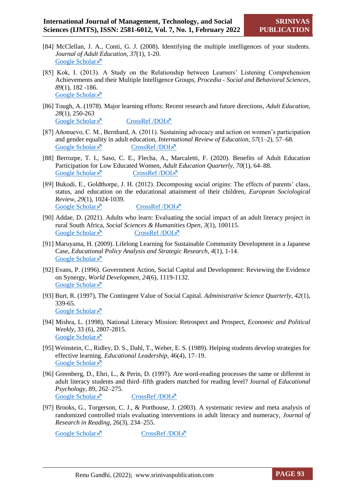- [84] McClellan, J. A., Conti, G. J. (2008). Identifying the multiple intelligences of your students. *Journal of Adult Education*, *37*(1), 1-20. [Google Scholar](https://files.eric.ed.gov/fulltext/EJ891071.pdf) ×
- [85] Kok, I. (2013). A Study on the Relationship between Learners' Listening Comprehension Achievements and their Multiple Intelligence Groups, *Procedia - Social and Behavioral Sciences, 89*(1), 182 -186. [Google Scholar](https://pdf.sciencedirectassets.com/277811/1-s2.0-S1877042813X00229/1-s2.0-S1877042813029625/main.pdf?X-Amz-Security-Token=IQoJb3JpZ2luX2VjEA8aCXVzLWVhc3QtMSJHMEUCIFYWVWCo%2BATaujOiSEz%2BhXPEnEV5vSXLpcepPcyVIsu5AiEA7IeFLwJKIzYFcBdS2xXrPrUYXFpwmMcqHJcHxuJbQ) ×
- [86] Tough, A. (1978). Major learning efforts: Recent research and future directions, *Adult Education*, *28*(1), 250-263 [Google Scholar](https://journals.sagepub.com/doi/10.1177/074171367802800403)  $\times$  [CrossRef /DOI](https://doi.org/10.1177/074171367802800403) $\times$
- [87] Añonuevo, C. M., Bernhard, A. (2011). Sustaining advocacy and action on women's participation and gender equality in adult education, *International Review of Education*, *57*(1–2), 57–68. [Google Scholar](https://eric.ed.gov/?id=EJ935818)  $\bar{x}$  [CrossRef /DOI](http://dx.doi.org/10.1007/s11159-011-9212-1) $\bar{x}$
- [88] Berrozpe, T. I., Saso, C. E., Flecha, A., Marcaletti, F. (2020). Benefits of Adult Education Participation for Low Educated Women, *Adult Education Quarterly*, *70*(1), 64–88. [Google Scholar](https://journals.sagepub.com/doi/full/10.1177/0741713619870793)  $\times$  [CrossRef /DOI](https://doi.org/10.1177/0741713619870793) $\times$
- [89] Bukodi, E., Goldthorpe, J. H. (2012). Decomposing social origins: The effects of parents' class, status, and education on the educational attainment of their children, *European Sociological Review*, *29*(1), 1024-1039. [Google Scholar](https://www.jstor.org/stable/24479845)  $\lambda$  [CrossRef /DOI](https://www.jstor.org/stable/24479845) $\lambda$
- [90] Addae, D. (2021). Adults who learn: Evaluating the social impact of an adult literacy project in rural South Africa, *Social Sciences & Humanities Open*, *3*(1), 100115. [Google Scholar](https://www.sciencedirect.com/science/article/pii/S2590291121000115)  $\times$  [CrossRef /DOI](https://doi.org/10.1016/j.ssaho.2021.100115) $\times$
- [91] Maruyama, H. (2009). Lifelong Learning for Sustainable Community Development in a Japanese Case, *Educational Policy Analysis and Strategic Research*, *4*(1), 1-14. [Google Scholar](https://files.eric.ed.gov/fulltext/ED502814.pdf)<sup> $\lambda$ </sup>
- [92] Evans, P. (1996). Government Action, Social Capital and Development: Reviewing the Evidence on Synergy, *World Developmen, 24*(6), 1119-1132. [Google Scholar](https://citeseerx.ist.psu.edu/viewdoc/download?doi=10.1.1.599.6830&rep=rep1&type=pdf) ×
- [93] Burt, R. (1997), The Contingent Value of Social Capital. *Administrative Science Quarterly, 42*(1), 339-65. [Google Scholar](https://www2.southeastern.edu/Academics/Faculty/jbell/burt.pdf) ×
- [94] Mishra, L. (1998), National Literacy Mission: Retrospect and Prospect, *Economic and Political Weekly*, 33 (6), 2807-2815. [Google Scholar](https://www.jstor.org/stable/4407331) ×
- [95] Weinstein, C., Ridley, D. S., Dahl, T., Weber, E. S. (1989). Helping students develop strategies for effective learning. *Educational Leadership*, 46(4), 17–19. [Google Scholar](https://eric.ed.gov/?id=EJ387007) ×
- [96] Greenberg, D., Ehri, L., & Perin, D. (1997). Are word-reading processes the same or different in adult literacy students and third–fifth graders matched for reading level? Journal *of Educational Psychology*, 89, 262–275. [Google Scholar](https://psycnet.apa.org/record/1997-06271-005)  $\lambda$  [CrossRef /DOI](https://doi.org/10.1037/0022-0663.89.2.262) $\lambda$
- [97] Brooks, G., Torgerson, C. J., & Porthouse, J. (2003). A systematic review and meta analysis of randomized controlled trials evaluating interventions in adult literacy and numeracy, *Journal of Research in Reading*, 26(3), 234–255.

[Google Scholar](https://psycnet.apa.org/record/2003-09376-002)  $\times$  [CrossRef /DOI](https://doi.org/10.1111/1467-9817.00200) $\times$